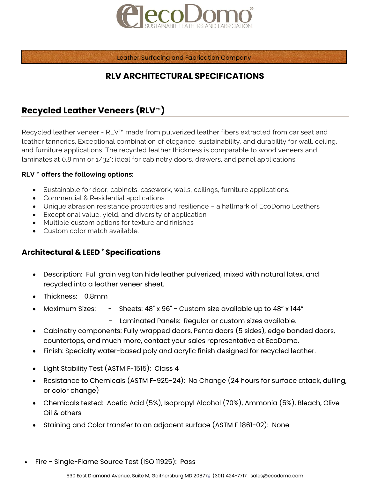

Leather Surfacing and Fabrication Company

## **RLV ARCHITECTURAL SPECIFICATIONS**

# **Recycled Leather Veneers (RLV**™**)**

Recycled leather veneer - RLV™ made from pulverized leather fibers extracted from car seat and leather tanneries. Exceptional combination of elegance, sustainability, and durability for wall, ceiling, and furniture applications. The recycled leather thickness is comparable to wood veneers and laminates at 0.8 mm or 1/32"; ideal for cabinetry doors, drawers, and panel applications.

### **RLV**™ **offers the following options:**

- Sustainable for door, cabinets, casework, walls, ceilings, furniture applications.
- Commercial & Residential applications
- Unique abrasion resistance properties and resilience a hallmark of EcoDomo Leathers
- Exceptional value, yield, and diversity of application
- Multiple custom options for texture and finishes
- Custom color match available.

### **Architectural & LEED ® Specifications**

- Description: Full grain veg tan hide leather pulverized, mixed with natural latex, and recycled into a leather veneer sheet.
- Thickness: 0.8mm
- Maximum Sizes: Sheets: 48" x 96" Custom size available up to 48" x 144"
	- Laminated Panels: Regular or custom sizes available.
- Cabinetry components: Fully wrapped doors, Penta doors (5 sides), edge banded doors, countertops, and much more, contact your sales representative at EcoDomo.
- Finish: Specialty water-based poly and acrylic finish designed for recycled leather.
- Light Stability Test (ASTM F-1515): Class 4
- Resistance to Chemicals (ASTM F-925-24): No Change (24 hours for surface attack, dulling, or color change)
- Chemicals tested: Acetic Acid (5%), Isopropyl Alcohol (70%), Ammonia (5%), Bleach, Olive Oil & others
- Staining and Color transfer to an adjacent surface (ASTM F 1861-02): None
- Fire Single-Flame Source Test (ISO 11925): Pass